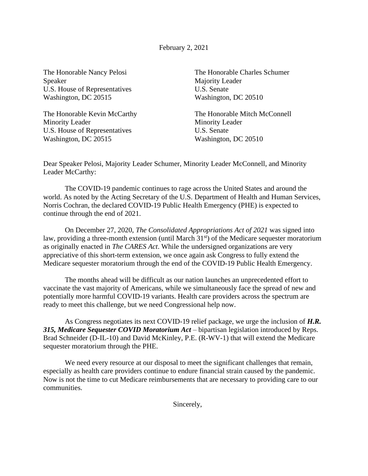February 2, 2021

Speaker Majority Leader U.S. House of Representatives U.S. Senate Washington, DC 20515 Washington, DC 20510

Minority Leader Minority Leader U.S. House of Representatives U.S. Senate Washington, DC 20515 Washington, DC 20510

The Honorable Nancy Pelosi The Honorable Charles Schumer

The Honorable Kevin McCarthy The Honorable Mitch McConnell

Dear Speaker Pelosi, Majority Leader Schumer, Minority Leader McConnell, and Minority Leader McCarthy:

The COVID-19 pandemic continues to rage across the United States and around the world. As noted by the Acting Secretary of the U.S. Department of Health and Human Services, Norris Cochran, the declared COVID-19 Public Health Emergency (PHE) is expected to continue through the end of 2021.

On December 27, 2020, *The Consolidated Appropriations Act of 2021* was signed into law, providing a three-month extension (until March  $31<sup>st</sup>$ ) of the Medicare sequester moratorium as originally enacted in *The CARES Act*. While the undersigned organizations are very appreciative of this short-term extension, we once again ask Congress to fully extend the Medicare sequester moratorium through the end of the COVID-19 Public Health Emergency.

The months ahead will be difficult as our nation launches an unprecedented effort to vaccinate the vast majority of Americans, while we simultaneously face the spread of new and potentially more harmful COVID-19 variants. Health care providers across the spectrum are ready to meet this challenge, but we need Congressional help now.

As Congress negotiates its next COVID-19 relief package, we urge the inclusion of *H.R. 315, Medicare Sequester COVID Moratorium Act* – bipartisan legislation introduced by Reps. Brad Schneider (D-IL-10) and David McKinley, P.E. (R-WV-1) that will extend the Medicare sequester moratorium through the PHE.

We need every resource at our disposal to meet the significant challenges that remain, especially as health care providers continue to endure financial strain caused by the pandemic. Now is not the time to cut Medicare reimbursements that are necessary to providing care to our communities.

Sincerely,